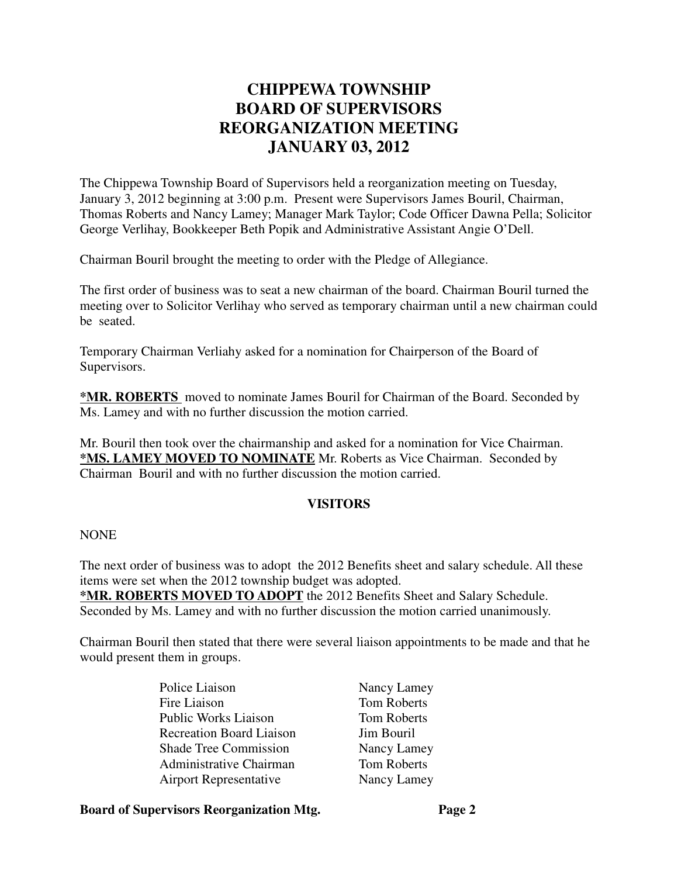# **CHIPPEWA TOWNSHIP BOARD OF SUPERVISORS REORGANIZATION MEETING JANUARY 03, 2012**

The Chippewa Township Board of Supervisors held a reorganization meeting on Tuesday, January 3, 2012 beginning at 3:00 p.m. Present were Supervisors James Bouril, Chairman, Thomas Roberts and Nancy Lamey; Manager Mark Taylor; Code Officer Dawna Pella; Solicitor George Verlihay, Bookkeeper Beth Popik and Administrative Assistant Angie O'Dell.

Chairman Bouril brought the meeting to order with the Pledge of Allegiance.

The first order of business was to seat a new chairman of the board. Chairman Bouril turned the meeting over to Solicitor Verlihay who served as temporary chairman until a new chairman could be seated.

Temporary Chairman Verliahy asked for a nomination for Chairperson of the Board of Supervisors.

**\*MR. ROBERTS** moved to nominate James Bouril for Chairman of the Board. Seconded by Ms. Lamey and with no further discussion the motion carried.

Mr. Bouril then took over the chairmanship and asked for a nomination for Vice Chairman. **\*MS. LAMEY MOVED TO NOMINATE** Mr. Roberts as Vice Chairman. Seconded by Chairman Bouril and with no further discussion the motion carried.

## **VISITORS**

NONE

The next order of business was to adopt the 2012 Benefits sheet and salary schedule. All these items were set when the 2012 township budget was adopted.

**\*MR. ROBERTS MOVED TO ADOPT** the 2012 Benefits Sheet and Salary Schedule. Seconded by Ms. Lamey and with no further discussion the motion carried unanimously.

Chairman Bouril then stated that there were several liaison appointments to be made and that he would present them in groups.

> Police Liaison Nancy Lamey Fire Liaison Tom Roberts Public Works Liaison Tom Roberts Recreation Board Liaison Jim Bouril Shade Tree Commission Nancy Lamey Administrative Chairman Tom Roberts Airport Representative Nancy Lamey

#### **Board of Supervisors Reorganization Mtg. Page 2**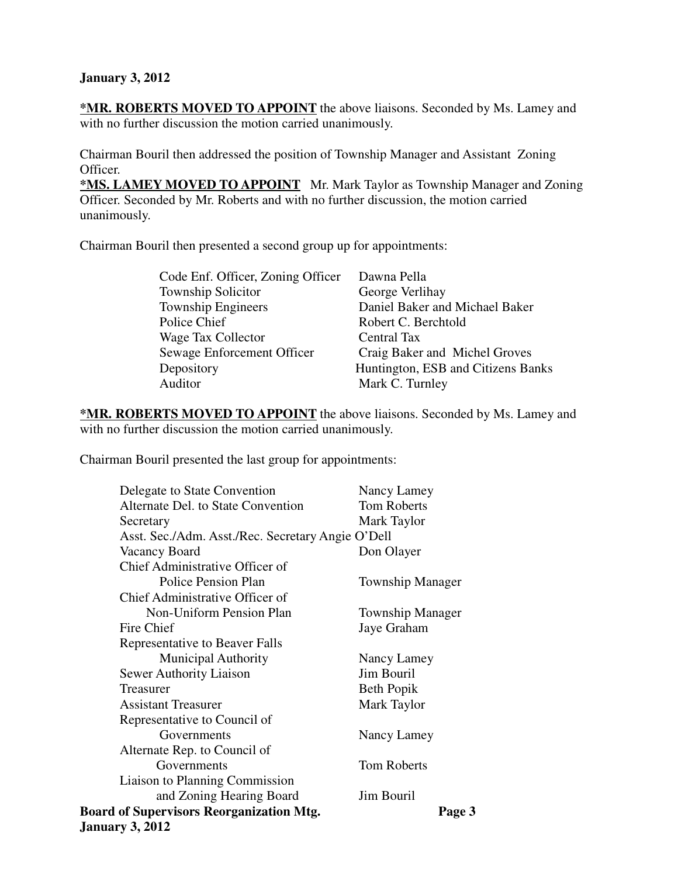# **January 3, 2012**

**\*MR. ROBERTS MOVED TO APPOINT** the above liaisons. Seconded by Ms. Lamey and with no further discussion the motion carried unanimously.

Chairman Bouril then addressed the position of Township Manager and Assistant Zoning Officer.

**\*MS. LAMEY MOVED TO APPOINT** Mr. Mark Taylor as Township Manager and Zoning Officer. Seconded by Mr. Roberts and with no further discussion, the motion carried unanimously.

Chairman Bouril then presented a second group up for appointments:

| Code Enf. Officer, Zoning Officer | Dawna Pella                        |
|-----------------------------------|------------------------------------|
| <b>Township Solicitor</b>         | George Verlihay                    |
| <b>Township Engineers</b>         | Daniel Baker and Michael Baker     |
| Police Chief                      | Robert C. Berchtold                |
| Wage Tax Collector                | Central Tax                        |
| Sewage Enforcement Officer        | Craig Baker and Michel Groves      |
| Depository                        | Huntington, ESB and Citizens Banks |
| Auditor                           | Mark C. Turnley                    |
|                                   |                                    |

**\*MR. ROBERTS MOVED TO APPOINT** the above liaisons. Seconded by Ms. Lamey and with no further discussion the motion carried unanimously.

Chairman Bouril presented the last group for appointments:

| Delegate to State Convention                              | Nancy Lamey             |  |
|-----------------------------------------------------------|-------------------------|--|
| Alternate Del. to State Convention                        | <b>Tom Roberts</b>      |  |
| Secretary                                                 | Mark Taylor             |  |
| Asst. Sec./Adm. Asst./Rec. Secretary Angie O'Dell         |                         |  |
| Vacancy Board                                             | Don Olayer              |  |
| Chief Administrative Officer of                           |                         |  |
| <b>Police Pension Plan</b>                                | <b>Township Manager</b> |  |
| Chief Administrative Officer of                           |                         |  |
| Non-Uniform Pension Plan                                  | <b>Township Manager</b> |  |
| Fire Chief                                                | Jaye Graham             |  |
| Representative to Beaver Falls                            |                         |  |
| <b>Municipal Authority</b>                                | Nancy Lamey             |  |
| <b>Sewer Authority Liaison</b>                            | <b>Jim Bouril</b>       |  |
| Treasurer                                                 | Beth Popik              |  |
| <b>Assistant Treasurer</b>                                | Mark Taylor             |  |
| Representative to Council of                              |                         |  |
| Governments                                               | Nancy Lamey             |  |
| Alternate Rep. to Council of                              |                         |  |
| Governments                                               | <b>Tom Roberts</b>      |  |
| Liaison to Planning Commission                            |                         |  |
| and Zoning Hearing Board                                  | Jim Bouril              |  |
| <b>Board of Supervisors Reorganization Mtg.</b><br>Page 3 |                         |  |
| <b>January 3, 2012</b>                                    |                         |  |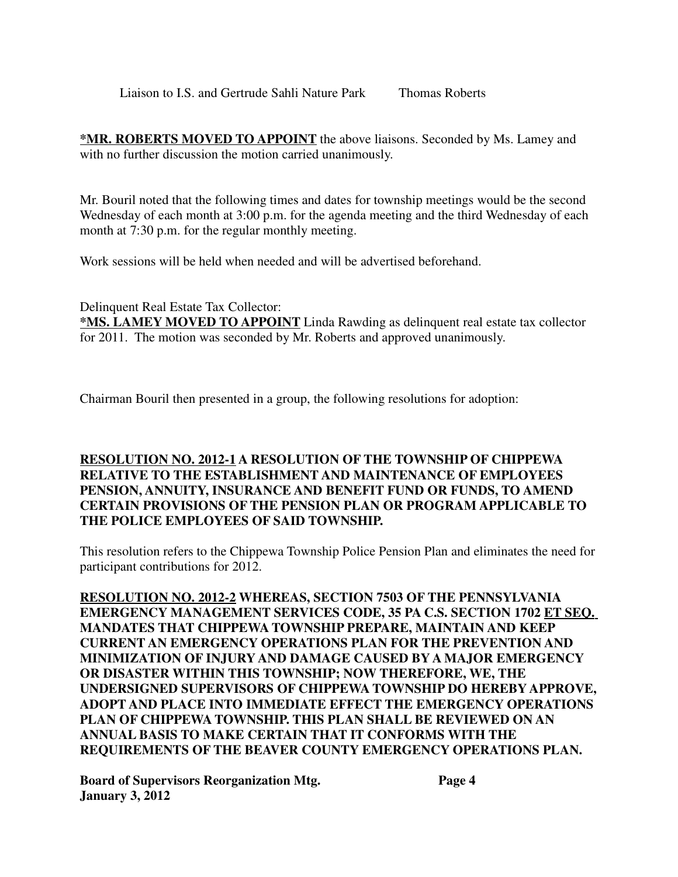Liaison to I.S. and Gertrude Sahli Nature Park Thomas Roberts

**\*MR. ROBERTS MOVED TO APPOINT** the above liaisons. Seconded by Ms. Lamey and with no further discussion the motion carried unanimously.

Mr. Bouril noted that the following times and dates for township meetings would be the second Wednesday of each month at 3:00 p.m. for the agenda meeting and the third Wednesday of each month at 7:30 p.m. for the regular monthly meeting.

Work sessions will be held when needed and will be advertised beforehand.

Delinquent Real Estate Tax Collector:

**\*MS. LAMEY MOVED TO APPOINT** Linda Rawding as delinquent real estate tax collector for 2011. The motion was seconded by Mr. Roberts and approved unanimously.

Chairman Bouril then presented in a group, the following resolutions for adoption:

# **RESOLUTION NO. 2012-1 A RESOLUTION OF THE TOWNSHIP OF CHIPPEWA RELATIVE TO THE ESTABLISHMENT AND MAINTENANCE OF EMPLOYEES PENSION, ANNUITY, INSURANCE AND BENEFIT FUND OR FUNDS, TO AMEND CERTAIN PROVISIONS OF THE PENSION PLAN OR PROGRAM APPLICABLE TO THE POLICE EMPLOYEES OF SAID TOWNSHIP.**

This resolution refers to the Chippewa Township Police Pension Plan and eliminates the need for participant contributions for 2012.

**RESOLUTION NO. 2012-2 WHEREAS, SECTION 7503 OF THE PENNSYLVANIA EMERGENCY MANAGEMENT SERVICES CODE, 35 PA C.S. SECTION 1702 ET SEQ. MANDATES THAT CHIPPEWA TOWNSHIP PREPARE, MAINTAIN AND KEEP CURRENT AN EMERGENCY OPERATIONS PLAN FOR THE PREVENTION AND MINIMIZATION OF INJURY AND DAMAGE CAUSED BY A MAJOR EMERGENCY OR DISASTER WITHIN THIS TOWNSHIP; NOW THEREFORE, WE, THE UNDERSIGNED SUPERVISORS OF CHIPPEWA TOWNSHIP DO HEREBY APPROVE, ADOPT AND PLACE INTO IMMEDIATE EFFECT THE EMERGENCY OPERATIONS PLAN OF CHIPPEWA TOWNSHIP. THIS PLAN SHALL BE REVIEWED ON AN ANNUAL BASIS TO MAKE CERTAIN THAT IT CONFORMS WITH THE REQUIREMENTS OF THE BEAVER COUNTY EMERGENCY OPERATIONS PLAN.**

**Board of Supervisors Reorganization Mtg. Page 4 January 3, 2012**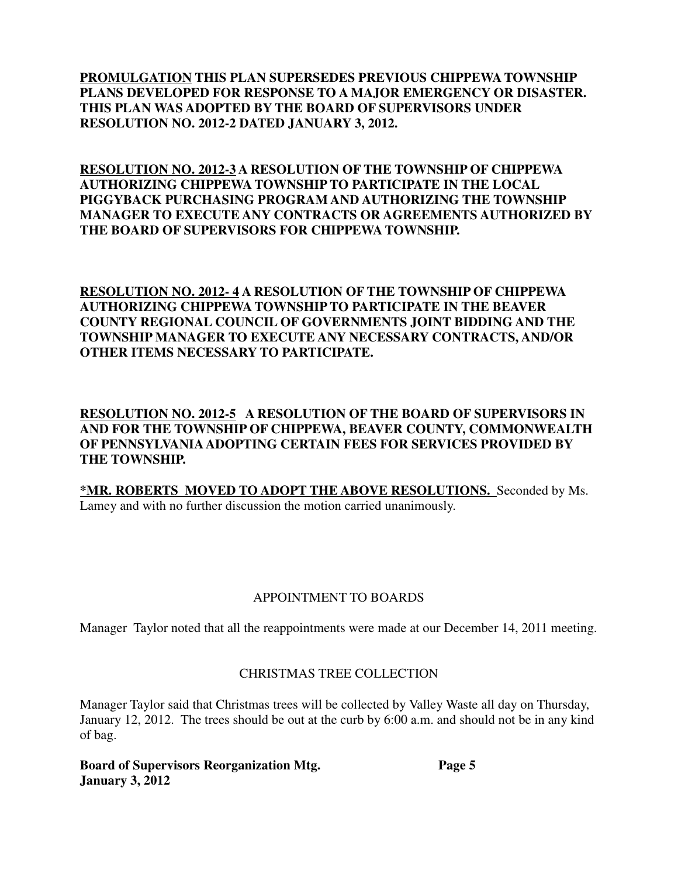**PROMULGATION THIS PLAN SUPERSEDES PREVIOUS CHIPPEWA TOWNSHIP PLANS DEVELOPED FOR RESPONSE TO A MAJOR EMERGENCY OR DISASTER. THIS PLAN WAS ADOPTED BY THE BOARD OF SUPERVISORS UNDER RESOLUTION NO. 2012-2 DATED JANUARY 3, 2012.**

**RESOLUTION NO. 2012-3 A RESOLUTION OF THE TOWNSHIP OF CHIPPEWA AUTHORIZING CHIPPEWA TOWNSHIP TO PARTICIPATE IN THE LOCAL PIGGYBACK PURCHASING PROGRAM AND AUTHORIZING THE TOWNSHIP MANAGER TO EXECUTE ANY CONTRACTS OR AGREEMENTS AUTHORIZED BY THE BOARD OF SUPERVISORS FOR CHIPPEWA TOWNSHIP.**

**RESOLUTION NO. 2012- 4 A RESOLUTION OF THE TOWNSHIP OF CHIPPEWA AUTHORIZING CHIPPEWA TOWNSHIP TO PARTICIPATE IN THE BEAVER COUNTY REGIONAL COUNCIL OF GOVERNMENTS JOINT BIDDING AND THE TOWNSHIP MANAGER TO EXECUTE ANY NECESSARY CONTRACTS, AND/OR OTHER ITEMS NECESSARY TO PARTICIPATE.**

**RESOLUTION NO. 2012-5 A RESOLUTION OF THE BOARD OF SUPERVISORS IN AND FOR THE TOWNSHIP OF CHIPPEWA, BEAVER COUNTY, COMMONWEALTH OF PENNSYLVANIA ADOPTING CERTAIN FEES FOR SERVICES PROVIDED BY THE TOWNSHIP.**

**\*MR. ROBERTS MOVED TO ADOPT THE ABOVE RESOLUTIONS.** Seconded by Ms. Lamey and with no further discussion the motion carried unanimously.

# APPOINTMENT TO BOARDS

Manager Taylor noted that all the reappointments were made at our December 14, 2011 meeting.

## CHRISTMAS TREE COLLECTION

Manager Taylor said that Christmas trees will be collected by Valley Waste all day on Thursday, January 12, 2012. The trees should be out at the curb by 6:00 a.m. and should not be in any kind of bag.

**Board of Supervisors Reorganization Mtg. Page 5 January 3, 2012**